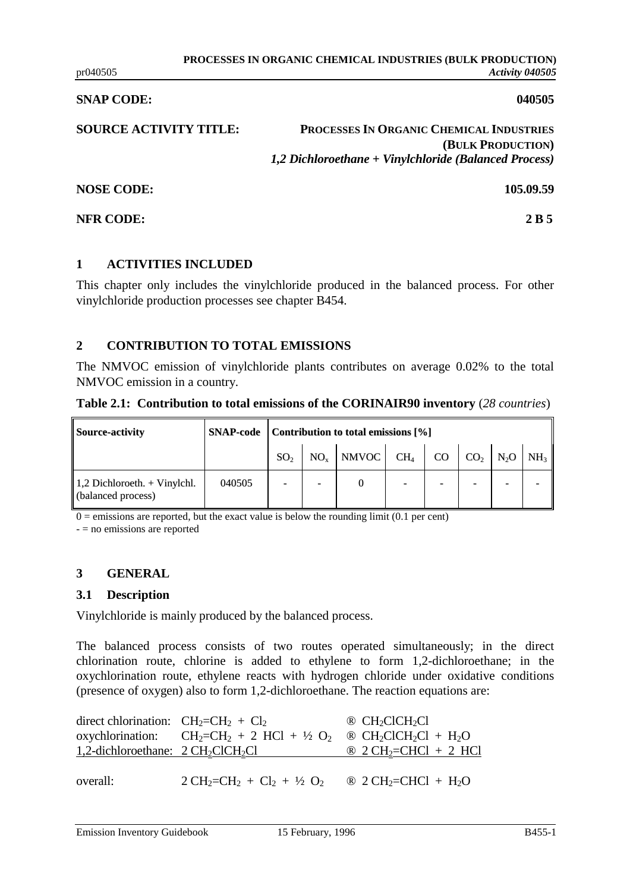#### **SNAP CODE:** 040505

**SOURCE ACTIVITY TITLE: PROCESSES IN ORGANIC CHEMICAL INDUSTRIES (BULK PRODUCTION)** *1,2 Dichloroethane + Vinylchloride (Balanced Process)*

**NOSE CODE: 105.09.59**

### **NFR CODE:** 2 B 5

## **1 ACTIVITIES INCLUDED**

This chapter only includes the vinylchloride produced in the balanced process. For other vinylchloride production processes see chapter B454.

# **2 CONTRIBUTION TO TOTAL EMISSIONS**

The NMVOC emission of vinylchloride plants contributes on average 0.02% to the total NMVOC emission in a country.

|  | Table 2.1: Contribution to total emissions of the CORINAIR90 inventory (28 countries) |  |  |  |
|--|---------------------------------------------------------------------------------------|--|--|--|
|--|---------------------------------------------------------------------------------------|--|--|--|

| <b>Source-activity</b>                               |        | <b>SNAP-code</b> Contribution to total emissions [%] |  |                                                                                                                                                                                                           |  |                          |   |   |  |
|------------------------------------------------------|--------|------------------------------------------------------|--|-----------------------------------------------------------------------------------------------------------------------------------------------------------------------------------------------------------|--|--------------------------|---|---|--|
|                                                      |        | SO <sub>2</sub>                                      |  | $\begin{bmatrix} \text{NO}_x \end{bmatrix}$ NMVOC $\begin{bmatrix} \text{CH}_4 \end{bmatrix}$ CO $\begin{bmatrix} \text{CO}_2 \end{bmatrix}$ N <sub>2</sub> O $\begin{bmatrix} \text{NH}_3 \end{bmatrix}$ |  |                          |   |   |  |
| $1,2$ Dichloroeth. + Vinylchl.<br>(balanced process) | 040505 |                                                      |  |                                                                                                                                                                                                           |  | $\overline{\phantom{0}}$ | - | - |  |

 $0 =$  emissions are reported, but the exact value is below the rounding limit (0.1 per cent)

- = no emissions are reported

## **3 GENERAL**

## **3.1 Description**

Vinylchloride is mainly produced by the balanced process.

The balanced process consists of two routes operated simultaneously; in the direct chlorination route, chlorine is added to ethylene to form 1,2-dichloroethane; in the oxychlorination route, ethylene reacts with hydrogen chloride under oxidative conditions (presence of oxygen) also to form 1,2-dichloroethane. The reaction equations are:

| direct chlorination: $CH_2=CH_2 + Cl_2$ |                                                        | $\circledR$ CH <sub>2</sub> ClCH <sub>2</sub> Cl                    |
|-----------------------------------------|--------------------------------------------------------|---------------------------------------------------------------------|
|                                         | oxychlorination: $CH_2=CH_2 + 2 HCl + \frac{1}{2} O_2$ | $\circledR$ CH <sub>2</sub> ClCH <sub>2</sub> Cl + H <sub>2</sub> O |
|                                         | $1,2$ -dichloroethane: $2 CH_2ClCH_2Cl$                | $\circledR$ 2 CH <sub>2</sub> =CHCl + 2 HCl                         |
|                                         |                                                        |                                                                     |
| overall:                                | $2 CH_2=CH_2 + Cl_2 + \frac{1}{2} O_2$                 | $\otimes$ 2 CH <sub>2</sub> =CHCl + H <sub>2</sub> O                |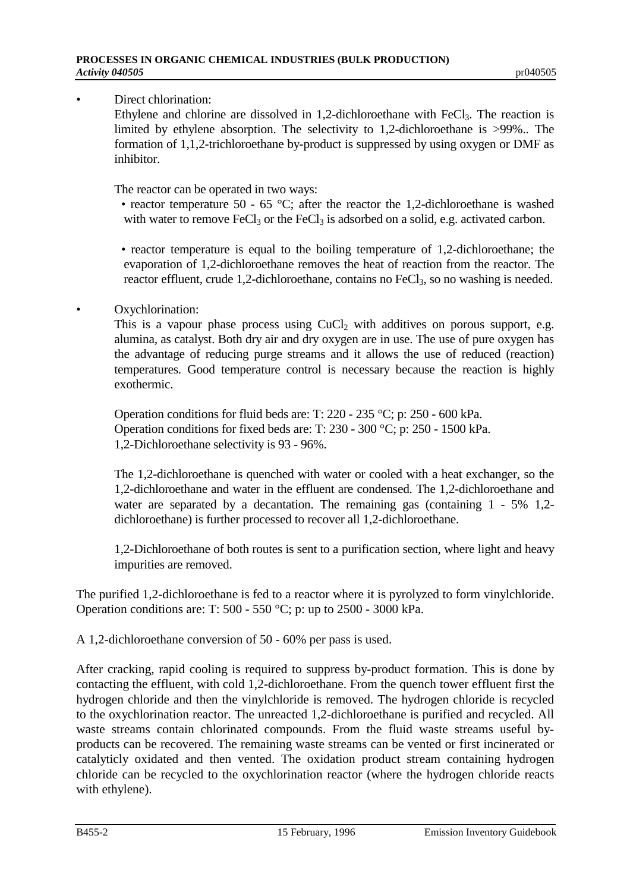Direct chlorination:

Ethylene and chlorine are dissolved in 1,2-dichloroethane with FeCl<sub>3</sub>. The reaction is limited by ethylene absorption. The selectivity to 1,2-dichloroethane is >99%.. The formation of 1,1,2-trichloroethane by-product is suppressed by using oxygen or DMF as inhibitor.

The reactor can be operated in two ways:

- reactor temperature 50 65 °C; after the reactor the 1,2-dichloroethane is washed with water to remove FeCl<sub>3</sub> or the FeCl<sub>3</sub> is adsorbed on a solid, e.g. activated carbon.
- reactor temperature is equal to the boiling temperature of 1,2-dichloroethane; the evaporation of 1,2-dichloroethane removes the heat of reaction from the reactor. The reactor effluent, crude 1,2-dichloroethane, contains no FeCl<sub>3</sub>, so no washing is needed.

# Oxychlorination:

This is a vapour phase process using  $CuCl<sub>2</sub>$  with additives on porous support, e.g. alumina, as catalyst. Both dry air and dry oxygen are in use. The use of pure oxygen has the advantage of reducing purge streams and it allows the use of reduced (reaction) temperatures. Good temperature control is necessary because the reaction is highly exothermic.

Operation conditions for fluid beds are: T: 220 - 235 °C; p: 250 - 600 kPa. Operation conditions for fixed beds are: T: 230 - 300 °C; p: 250 - 1500 kPa. 1,2-Dichloroethane selectivity is 93 - 96%.

The 1,2-dichloroethane is quenched with water or cooled with a heat exchanger, so the 1,2-dichloroethane and water in the effluent are condensed. The 1,2-dichloroethane and water are separated by a decantation. The remaining gas (containing 1 - 5% 1,2dichloroethane) is further processed to recover all 1,2-dichloroethane.

1,2-Dichloroethane of both routes is sent to a purification section, where light and heavy impurities are removed.

The purified 1,2-dichloroethane is fed to a reactor where it is pyrolyzed to form vinylchloride. Operation conditions are: T: 500 - 550 °C; p: up to 2500 - 3000 kPa.

A 1,2-dichloroethane conversion of 50 - 60% per pass is used.

After cracking, rapid cooling is required to suppress by-product formation. This is done by contacting the effluent, with cold 1,2-dichloroethane. From the quench tower effluent first the hydrogen chloride and then the vinylchloride is removed. The hydrogen chloride is recycled to the oxychlorination reactor. The unreacted 1,2-dichloroethane is purified and recycled. All waste streams contain chlorinated compounds. From the fluid waste streams useful byproducts can be recovered. The remaining waste streams can be vented or first incinerated or catalyticly oxidated and then vented. The oxidation product stream containing hydrogen chloride can be recycled to the oxychlorination reactor (where the hydrogen chloride reacts with ethylene).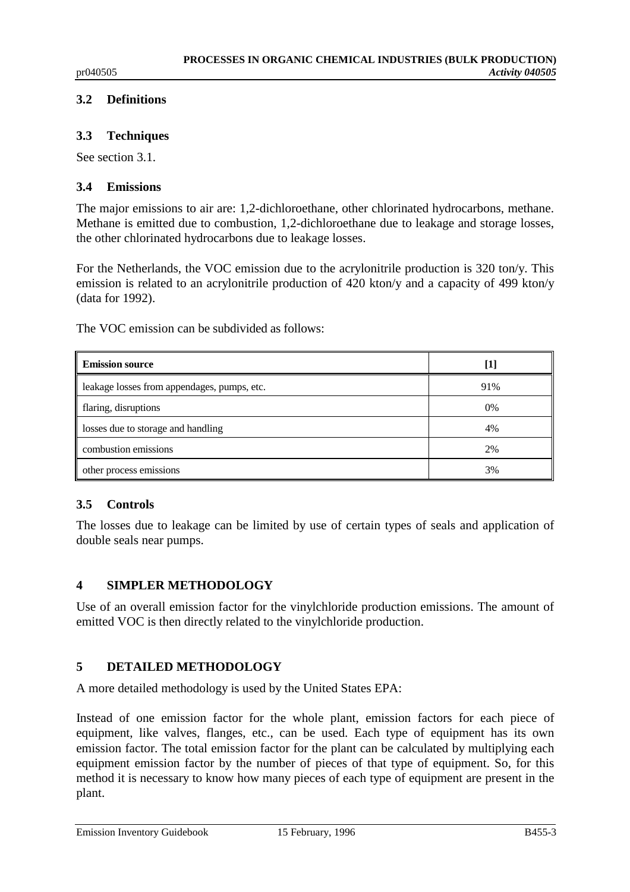# **3.2 Definitions**

# **3.3 Techniques**

See section 3.1.

# **3.4 Emissions**

The major emissions to air are: 1,2-dichloroethane, other chlorinated hydrocarbons, methane. Methane is emitted due to combustion, 1,2-dichloroethane due to leakage and storage losses, the other chlorinated hydrocarbons due to leakage losses.

For the Netherlands, the VOC emission due to the acrylonitrile production is 320 ton/y. This emission is related to an acrylonitrile production of 420 kton/y and a capacity of 499 kton/y (data for 1992).

The VOC emission can be subdivided as follows:

| <b>Emission source</b>                      | [1] |
|---------------------------------------------|-----|
| leakage losses from appendages, pumps, etc. | 91% |
| flaring, disruptions                        | 0%  |
| losses due to storage and handling          | 4%  |
| combustion emissions                        | 2%  |
| other process emissions                     | 3%  |

# **3.5 Controls**

The losses due to leakage can be limited by use of certain types of seals and application of double seals near pumps.

# **4 SIMPLER METHODOLOGY**

Use of an overall emission factor for the vinylchloride production emissions. The amount of emitted VOC is then directly related to the vinylchloride production.

# **5 DETAILED METHODOLOGY**

A more detailed methodology is used by the United States EPA:

Instead of one emission factor for the whole plant, emission factors for each piece of equipment, like valves, flanges, etc., can be used. Each type of equipment has its own emission factor. The total emission factor for the plant can be calculated by multiplying each equipment emission factor by the number of pieces of that type of equipment. So, for this method it is necessary to know how many pieces of each type of equipment are present in the plant.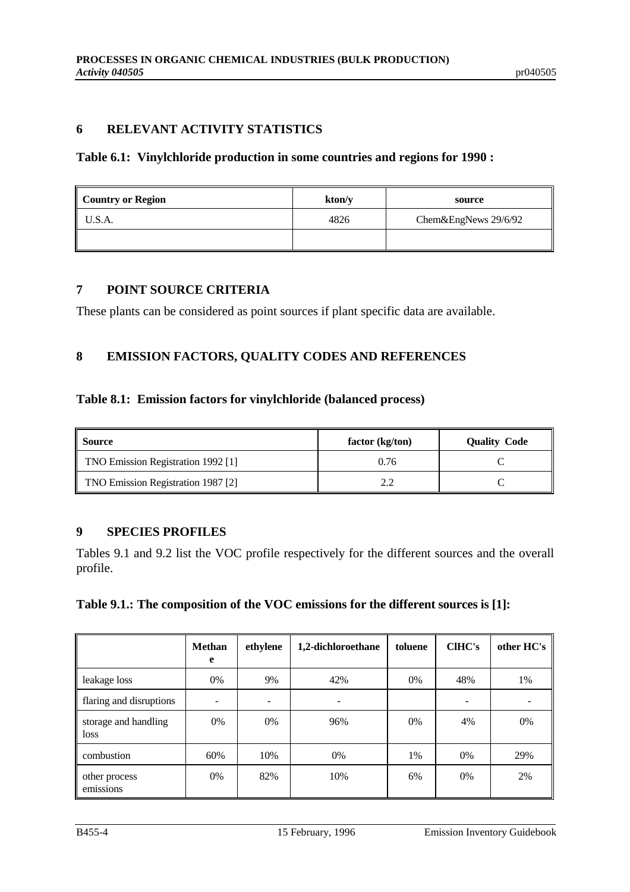# **6 RELEVANT ACTIVITY STATISTICS**

## **Table 6.1: Vinylchloride production in some countries and regions for 1990 :**

| <b>Country or Region</b> | kton/y | source               |
|--------------------------|--------|----------------------|
| U.S.A.                   | 4826   | Chem&EngNews 29/6/92 |
|                          |        |                      |

# **7 POINT SOURCE CRITERIA**

These plants can be considered as point sources if plant specific data are available.

# **8 EMISSION FACTORS, QUALITY CODES AND REFERENCES**

#### **Table 8.1: Emission factors for vinylchloride (balanced process)**

| Source                             | factor (kg/ton) | <b>Quality Code</b> |
|------------------------------------|-----------------|---------------------|
| TNO Emission Registration 1992 [1] | 0.76            |                     |
| TNO Emission Registration 1987 [2] | $\cap$          |                     |

# **9 SPECIES PROFILES**

Tables 9.1 and 9.2 list the VOC profile respectively for the different sources and the overall profile.

## **Table 9.1.: The composition of the VOC emissions for the different sources is [1]:**

|                              | <b>Methan</b><br>e | ethylene | 1,2-dichloroethane | toluene | <b>CIHC's</b> | other HC's |
|------------------------------|--------------------|----------|--------------------|---------|---------------|------------|
| leakage loss                 | 0%                 | 9%       | 42%                | $0\%$   | 48%           | 1%         |
| flaring and disruptions      |                    |          |                    |         |               |            |
| storage and handling<br>loss | 0%                 | 0%       | 96%                | 0%      | 4%            | 0%         |
| combustion                   | 60%                | 10%      | 0%                 | 1%      | 0%            | 29%        |
| other process<br>emissions   | 0%                 | 82%      | 10%                | 6%      | 0%            | 2%         |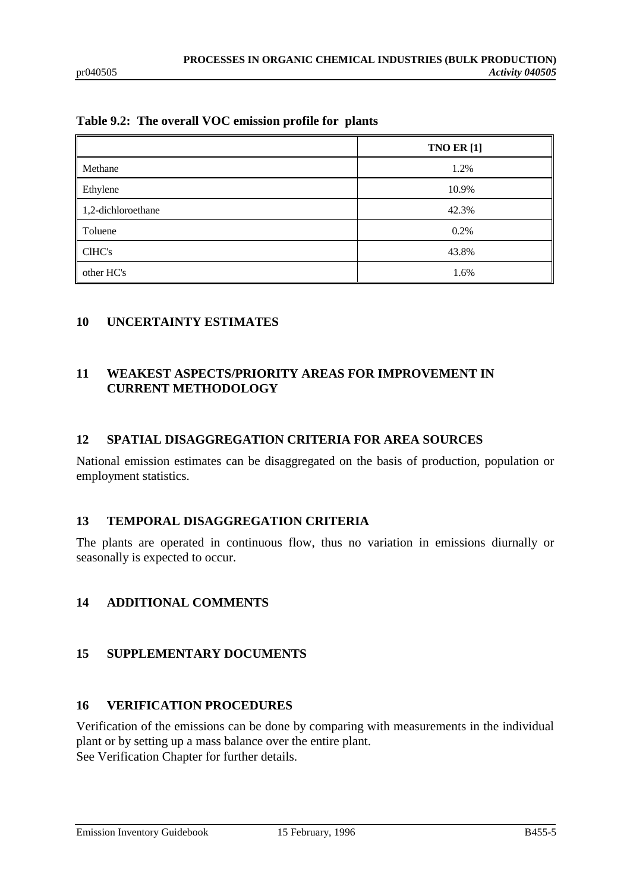## **Table 9.2: The overall VOC emission profile for plants**

|                    | <b>TNO ER [1]</b> |
|--------------------|-------------------|
| Methane            | 1.2%              |
| Ethylene           | 10.9%             |
| 1,2-dichloroethane | 42.3%             |
| Toluene            | 0.2%              |
| CIHC's             | 43.8%             |
| other HC's         | 1.6%              |

# **10 UNCERTAINTY ESTIMATES**

# **11 WEAKEST ASPECTS/PRIORITY AREAS FOR IMPROVEMENT IN CURRENT METHODOLOGY**

## **12 SPATIAL DISAGGREGATION CRITERIA FOR AREA SOURCES**

National emission estimates can be disaggregated on the basis of production, population or employment statistics.

## **13 TEMPORAL DISAGGREGATION CRITERIA**

The plants are operated in continuous flow, thus no variation in emissions diurnally or seasonally is expected to occur.

# **14 ADDITIONAL COMMENTS**

# **15 SUPPLEMENTARY DOCUMENTS**

## **16 VERIFICATION PROCEDURES**

Verification of the emissions can be done by comparing with measurements in the individual plant or by setting up a mass balance over the entire plant. See Verification Chapter for further details.